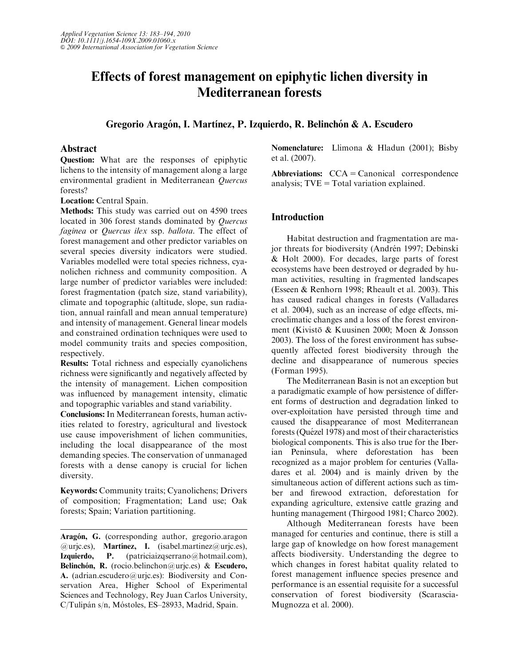# Effects of forest management on epiphytic lichen diversity in Mediterranean forests

Gregorio Aragón, I. Martínez, P. Izquierdo, R. Belinchón & A. Escudero

# Abstract

Question: What are the responses of epiphytic lichens to the intensity of management along a large environmental gradient in Mediterranean Quercus forests?

Location: Central Spain.

Methods: This study was carried out on 4590 trees located in 306 forest stands dominated by Quercus faginea or Quercus ilex ssp. ballota. The effect of forest management and other predictor variables on several species diversity indicators were studied. Variables modelled were total species richness, cyanolichen richness and community composition. A large number of predictor variables were included: forest fragmentation (patch size, stand variability), climate and topographic (altitude, slope, sun radiation, annual rainfall and mean annual temperature) and intensity of management. General linear models and constrained ordination techniques were used to model community traits and species composition, respectively.

Results: Total richness and especially cyanolichens richness were significantly and negatively affected by the intensity of management. Lichen composition was influenced by management intensity, climatic and topographic variables and stand variability.

Conclusions: In Mediterranean forests, human activities related to forestry, agricultural and livestock use cause impoverishment of lichen communities, including the local disappearance of the most demanding species. The conservation of unmanaged forests with a dense canopy is crucial for lichen diversity.

Keywords: Community traits; Cyanolichens; Drivers of composition; Fragmentation; Land use; Oak forests; Spain; Variation partitioning.

Aragón, G. (corresponding author, [gregorio.aragon](mailto:gregorio.aragon@urjc.es)  $@$ urjc.es), **Martínez, I.** (isabel.martinez $@$ urjc.es), Izquierdo, P. [\(patriciaizqserrano@hotmail.com\),](mailto:patriciaizqserrano@hotmail.com) Belinchón, R. [\(rocio.belinchon@urjc.es\) &](mailto:rocio.belinchon@urjc.es) Escudero, A. [\(adrian.escudero@urjc.es\): Biodiversity and Con](mailto:adrian.escudero@urjc.es)[servation Area, Higher School of Experimental](mailto:adrian.escudero@urjc.es) [Sciences and Technology, Rey Juan Carlos University,](mailto:adrian.escudero@urjc.es) C/Tulipán s/n, Móstoles, ES-28933, Madrid, Spain.

Nomenclature: Llimona & Hladun (2001); Bisby et al. (2007).

Abbreviations:  $CCA = \text{canonical}$  correspondence analysis;  $TVE = Total variation explained.$ 

# Introduction

Habitat destruction and fragmentation are major threats for biodiversity (Andrén 1997; Debinski & Holt 2000). For decades, large parts of forest ecosystems have been destroyed or degraded by human activities, resulting in fragmented landscapes (Esseen & Renhorn 1998; Rheault et al. 2003). This has caused radical changes in forests (Valladares et al. 2004), such as an increase of edge effects, microclimatic changes and a loss of the forest environment (Kivistö & Kuusinen 2000; Moen & Jonsson 2003). The loss of the forest environment has subsequently affected forest biodiversity through the decline and disappearance of numerous species (Forman 1995).

The Mediterranean Basin is not an exception but a paradigmatic example of how persistence of different forms of destruction and degradation linked to over-exploitation have persisted through time and caused the disappearance of most Mediterranean forests (Quézel 1978) and most of their characteristics biological components. This is also true for the Iberian Peninsula, where deforestation has been recognized as a major problem for centuries (Valladares et al. 2004) and is mainly driven by the simultaneous action of different actions such as timber and firewood extraction, deforestation for expanding agriculture, extensive cattle grazing and hunting management (Thirgood 1981; Charco 2002).

Although Mediterranean forests have been managed for centuries and continue, there is still a large gap of knowledge on how forest management affects biodiversity. Understanding the degree to which changes in forest habitat quality related to forest management influence species presence and performance is an essential requisite for a successful conservation of forest biodiversity (Scarascia-Mugnozza et al. 2000).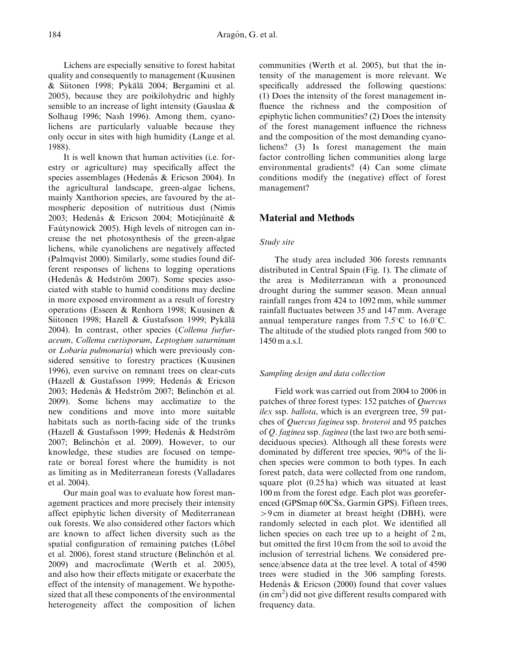Lichens are especially sensitive to forest habitat quality and consequently to management (Kuusinen & Siitonen 1998; Pykälä 2004; Bergamini et al. 2005), because they are poikilohydric and highly sensible to an increase of light intensity (Gauslaa & Solhaug 1996; Nash 1996). Among them, cyanolichens are particularly valuable because they only occur in sites with high humidity (Lange et al. 1988).

It is well known that human activities (i.e. forestry or agriculture) may specifically affect the species assemblages (Hedenås & Ericson 2004). In the agricultural landscape, green-algae lichens, mainly Xanthorion species, are favoured by the atmospheric deposition of nutritious dust (Nimis 2003; Hedenås & Ericson 2004; Motiejûnaitë & Fautynowick 2005). High levels of nitrogen can increase the net photosynthesis of the green-algae lichens, while cyanolichens are negatively affected (Palmqvist 2000). Similarly, some studies found different responses of lichens to logging operations (Hedenås  $&$  Hedström 2007). Some species associated with stable to humid conditions may decline in more exposed environment as a result of forestry operations (Esseen & Renhorn 1998; Kuusinen & Siitonen 1998; Hazell & Gustafsson 1999; Pykälä 2004). In contrast, other species (Collema furfuraceum, Collema curtisporum, Leptogium saturninum or Lobaria pulmonaria) which were previously considered sensitive to forestry practices (Kuusinen 1996), even survive on remnant trees on clear-cuts (Hazell & Gustafsson 1999; Hedenås & Ericson 2003; Hedenås & Hedström 2007; Belinchón et al. 2009). Some lichens may acclimatize to the new conditions and move into more suitable habitats such as north-facing side of the trunks (Hazell & Gustafsson 1999; Hedenås & Hedström 2007; Belinchón et al. 2009). However, to our knowledge, these studies are focused on temperate or boreal forest where the humidity is not as limiting as in Mediterranean forests (Valladares et al. 2004).

Our main goal was to evaluate how forest management practices and more precisely their intensity affect epiphytic lichen diversity of Mediterranean oak forests. We also considered other factors which are known to affect lichen diversity such as the spatial configuration of remaining patches (Löbel et al. 2006), forest stand structure (Belinchón et al. 2009) and macroclimate (Werth et al. 2005), and also how their effects mitigate or exacerbate the effect of the intensity of management. We hypothesized that all these components of the environmental heterogeneity affect the composition of lichen communities (Werth et al. 2005), but that the intensity of the management is more relevant. We specifically addressed the following questions: (1) Does the intensity of the forest management influence the richness and the composition of epiphytic lichen communities? (2) Does the intensity of the forest management influence the richness and the composition of the most demanding cyanolichens? (3) Is forest management the main factor controlling lichen communities along large environmental gradients? (4) Can some climate conditions modify the (negative) effect of forest management?

# Material and Methods

### Study site

The study area included 306 forests remnants distributed in Central Spain (Fig. 1). The climate of the area is Mediterranean with a pronounced drought during the summer season. Mean annual rainfall ranges from 424 to 1092 mm, while summer rainfall fluctuates between 35 and 147 mm. Average annual temperature ranges from  $7.5^{\circ}$ C to 16.0<sup>o</sup>C. The altitude of the studied plots ranged from 500 to 1450 m a.s.l.

### Sampling design and data collection

Field work was carried out from 2004 to 2006 in patches of three forest types: 152 patches of Quercus ilex ssp. ballota, which is an evergreen tree, 59 patches of Quercus faginea ssp. broteroi and 95 patches of Q. faginea ssp. faginea (the last two are both semideciduous species). Although all these forests were dominated by different tree species, 90% of the lichen species were common to both types. In each forest patch, data were collected from one random, square plot (0.25 ha) which was situated at least 100 m from the forest edge. Each plot was georeferenced (GPSmap 60CSx, Garmin GPS). Fifteen trees,  $> 9$  cm in diameter at breast height (DBH), were randomly selected in each plot. We identified all lichen species on each tree up to a height of 2 m, but omitted the first 10 cm from the soil to avoid the inclusion of terrestrial lichens. We considered presence/absence data at the tree level. A total of 4590 trees were studied in the 306 sampling forests. Hedenås  $&$  Ericson (2000) found that cover values (in cm2 ) did not give different results compared with frequency data.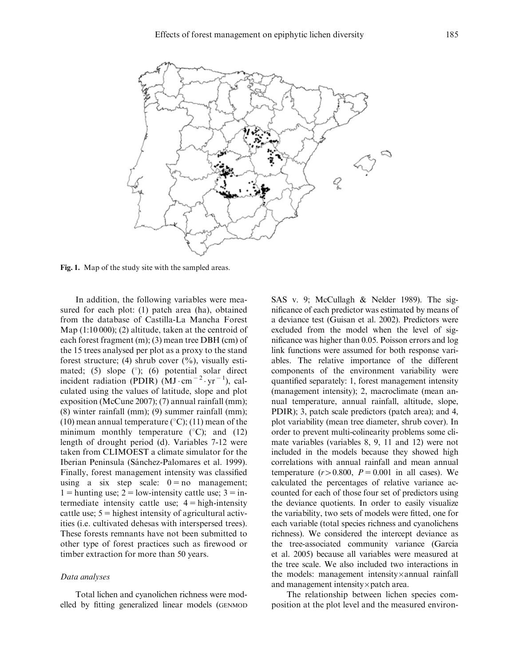

Fig. 1. Map of the study site with the sampled areas.

In addition, the following variables were measured for each plot: (1) patch area (ha), obtained from the database of Castilla-La Mancha Forest Map (1:10 000); (2) altitude, taken at the centroid of each forest fragment (m); (3) mean tree DBH (cm) of the 15 trees analysed per plot as a proxy to the stand forest structure; (4) shrub cover  $(\%)$ , visually estimated; (5) slope  $(°)$ ; (6) potential solar direct incident radiation (PDIR)  $(MJ \cdot cm^{-2} \cdot yr^{-1})$ , calculated using the values of latitude, slope and plot exposition (McCune 2007); (7) annual rainfall (mm); (8) winter rainfall (mm); (9) summer rainfall (mm); (10) mean annual temperature ( $\degree$ C); (11) mean of the minimum monthly temperature  $(^{\circ}C)$ ; and  $(12)$ length of drought period (d). Variables 7-12 were taken from CLIMOEST a climate simulator for the Iberian Peninsula (Sánchez-Palomares et al. 1999). Finally, forest management intensity was classified using a six step scale:  $0 = no$  management; 1 = hunting use; 2 = low-intensity cattle use;  $3 = in$ termediate intensity cattle use;  $4 =$  high-intensity cattle use;  $5 =$  highest intensity of agricultural activities (i.e. cultivated dehesas with interspersed trees). These forests remnants have not been submitted to other type of forest practices such as firewood or timber extraction for more than 50 years.

### Data analyses

Total lichen and cyanolichen richness were modelled by fitting generalized linear models (GENMOD SAS v. 9; McCullagh & Nelder 1989). The significance of each predictor was estimated by means of a deviance test (Guisan et al. 2002). Predictors were excluded from the model when the level of significance was higher than 0.05. Poisson errors and log link functions were assumed for both response variables. The relative importance of the different components of the environment variability were quantified separately: 1, forest management intensity (management intensity); 2, macroclimate (mean annual temperature, annual rainfall, altitude, slope, PDIR); 3, patch scale predictors (patch area); and 4, plot variability (mean tree diameter, shrub cover). In order to prevent multi-colinearity problems some climate variables (variables 8, 9, 11 and 12) were not included in the models because they showed high correlations with annual rainfall and mean annual temperature  $(r>0.800, P = 0.001$  in all cases). We calculated the percentages of relative variance accounted for each of those four set of predictors using the deviance quotients. In order to easily visualize the variability, two sets of models were fitted, one for each variable (total species richness and cyanolichens richness). We considered the intercept deviance as the tree-associated community variance (García et al. 2005) because all variables were measured at the tree scale. We also included two interactions in the models: management intensity $\times$ annual rainfall and management intensity $\times$ patch area.

The relationship between lichen species composition at the plot level and the measured environ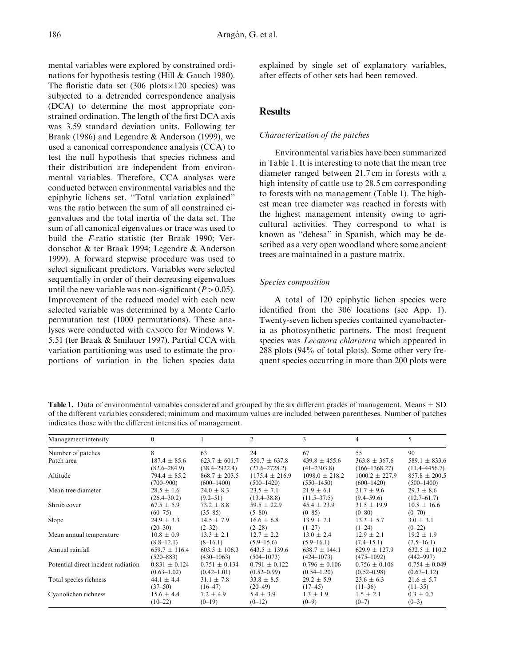mental variables were explored by constrained ordinations for hypothesis testing (Hill & Gauch 1980). The floristic data set (306 plots $\times$ 120 species) was subjected to a detrended correspondence analysis (DCA) to determine the most appropriate constrained ordination. The length of the first DCA axis was 3.59 standard deviation units. Following ter Braak (1986) and Legendre & Anderson (1999), we used a canonical correspondence analysis (CCA) to test the null hypothesis that species richness and their distribution are independent from environmental variables. Therefore, CCA analyses were conducted between environmental variables and the epiphytic lichens set. ''Total variation explained'' was the ratio between the sum of all constrained eigenvalues and the total inertia of the data set. The sum of all canonical eigenvalues or trace was used to build the F-ratio statistic (ter Braak 1990; Verdonschot & ter Braak 1994; Legendre & Anderson 1999). A forward stepwise procedure was used to select significant predictors. Variables were selected sequentially in order of their decreasing eigenvalues until the new variable was non-significant  $(P>0.05)$ . Improvement of the reduced model with each new selected variable was determined by a Monte Carlo permutation test (1000 permutations). These analyses were conducted with CANOCO for Windows V. 5.51 (ter Braak & Smilauer 1997). Partial CCA with variation partitioning was used to estimate the proportions of variation in the lichen species data

explained by single set of explanatory variables, after effects of other sets had been removed.

# **Results**

# Characterization of the patches

Environmental variables have been summarized in Table 1. It is interesting to note that the mean tree diameter ranged between 21.7 cm in forests with a high intensity of cattle use to 28.5 cm corresponding to forests with no management (Table 1). The highest mean tree diameter was reached in forests with the highest management intensity owing to agricultural activities. They correspond to what is known as ''dehesa'' in Spanish, which may be described as a very open woodland where some ancient trees are maintained in a pasture matrix.

# Species composition

A total of 120 epiphytic lichen species were identified from the 306 locations (see App. 1). Twenty-seven lichen species contained cyanobacteria as photosynthetic partners. The most frequent species was Lecanora chlarotera which appeared in 288 plots (94% of total plots). Some other very frequent species occurring in more than 200 plots were

**Table 1.** Data of environmental variables considered and grouped by the six different grades of management. Means  $\pm$  SD of the different variables considered; minimum and maximum values are included between parentheses. Number of patches indicates those with the different intensities of management.

| Management intensity                | $\Omega$                    |                                        | $\overline{c}$                         | 3                                     | 4                                     | 5                                     |
|-------------------------------------|-----------------------------|----------------------------------------|----------------------------------------|---------------------------------------|---------------------------------------|---------------------------------------|
| Number of patches                   | 8                           | 63                                     | 24                                     | 67                                    | 55                                    | 90                                    |
| Patch area                          | $187.4 \pm 85.6$            | $623.7 \pm 601.7$                      | $550.7 \pm 637.8$                      | $439.8 \pm 455.6$                     | $363.8 \pm 367.6$                     | $589.1 \pm 833.6$                     |
|                                     | $(82.6 - 284.9)$            | $(38.4 - 2922.4)$                      | $(27.6 - 2728.2)$                      | $(41 - 2303.8)$                       | $(166 - 1368.27)$                     | $(11.4 - 4456.7)$                     |
| Altitude                            | $794.4 \pm 85.2$            | $868.7 \pm 203.5$                      | $1175.4 \pm 216.9$                     | $1098.0 \pm 218.2$                    | $1000.2 \pm 227.9$                    | $857.8 \pm 200.5$                     |
|                                     | $(700 - 900)$               | $(600-1400)$                           | $(500-1420)$                           | $(550-1450)$                          | $(600-1420)$                          | $(500-1400)$                          |
| Mean tree diameter                  | $28.5 \pm 1.6$              | $24.0 \pm 8.3$                         | $23.5 \pm 7.1$                         | $21.9 \pm 6.1$                        | $21.7 \pm 9.6$                        | $29.3 \pm 8.6$                        |
|                                     | $(26.4 - 30.2)$             | $(9.2 - 51)$                           | $(13.4 - 38.8)$                        | $(11.5 - 37.5)$                       | $(9.4 - 59.6)$                        | $(12.7 - 61.7)$                       |
| Shrub cover                         | $67.5 \pm 5.9$              | $73.2 \pm 8.8$                         | $59.5 \pm 22.9$                        | $45.4 \pm 23.9$                       | $31.5 \pm 19.9$                       | $10.8 \pm 16.6$                       |
|                                     | $(60 - 75)$                 | $(35 - 85)$                            | $(5 - 80)$                             | $(0-85)$                              | $(0 - 80)$                            | $(0 - 70)$                            |
| Slope                               | $24.9 \pm 3.3$              | $14.5 \pm 7.9$                         | $16.6 \pm 6.8$                         | $13.9 \pm 7.1$                        | $13.3 \pm 5.7$                        | $3.0 \pm 3.1$                         |
|                                     | $(20-30)$                   | $(2-32)$                               | $(2-28)$                               | $(1-27)$                              | $(1-24)$                              | $(0-22)$                              |
| Mean annual temperature             | $10.8 \pm 0.9$              | $13.3 \pm 2.1$                         | $12.7 \pm 2.2$                         | $13.0 \pm 2.4$                        | $12.9 \pm 2.1$                        | $19.2 \pm 1.9$                        |
|                                     | $(8.8 - 12.1)$              | $(8-16.1)$                             | $(5.9 - 15.6)$                         | $(5.9 - 16.1)$                        | $(7.4 - 15.1)$                        | $(7.5 - 16.1)$                        |
| Annual rainfall                     | $659.7 \pm 116.4$           | $603.5 \pm 106.3$                      | $643.5 \pm 139.6$                      | $638.7 \pm 144.1$                     | $629.9 \pm 127.9$                     | $632.5 \pm 110.2$                     |
|                                     | $(520 - 883)$               | $(430 - 1063)$                         | $(504 - 1073)$                         | $(424 - 1073)$                        | $(475 - 1092)$                        | $(442 - 997)$                         |
| Potential direct incident radiation | $0.831 \pm 0.124$           | $0.751 \pm 0.134$                      | $0.791 \pm 0.122$                      | $0.796 \pm 0.106$                     | $0.756 \pm 0.106$                     | $0.754 \pm 0.049$                     |
|                                     | $(0.63 - 1.02)$             | $(0.42 - 1.01)$                        | $(0.52 - 0.99)$                        | $(0.54 - 1.20)$                       | $(0.52 - 0.98)$                       | $(0.67-1.12)$                         |
| Total species richness              | 44.1 $\pm$ 4.4<br>$(37-50)$ | $31.1 \pm 7.8$                         | $33.8 \pm 8.5$                         | $29.2 \pm 5.9$                        | $23.6 \pm 6.3$                        | $21.6 \pm 5.7$                        |
| Cyanolichen richness                | $15.6 \pm 4.4$<br>$(10-22)$ | $(16-47)$<br>$7.2 \pm 4.9$<br>$(0-19)$ | $(20-49)$<br>$5.4 \pm 3.9$<br>$(0-12)$ | $(17-45)$<br>$1.3 \pm 1.9$<br>$(0-9)$ | $(11-36)$<br>$1.5 \pm 2.1$<br>$(0-7)$ | $(11-35)$<br>$0.3 \pm 0.7$<br>$(0-3)$ |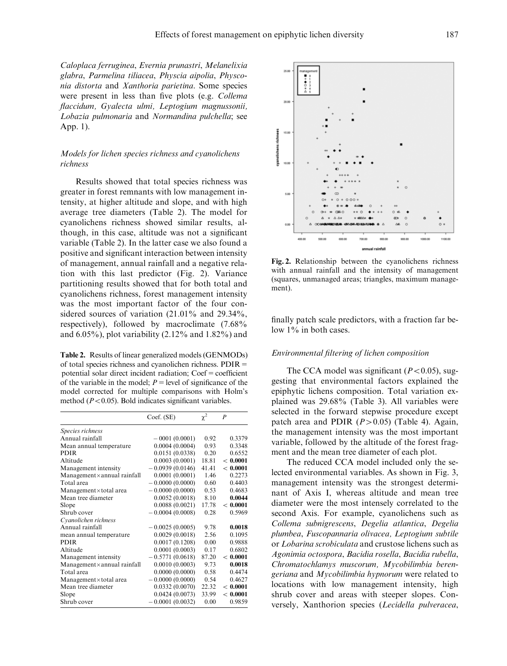Caloplaca ferruginea, Evernia prunastri, Melanelixia glabra, Parmelina tiliacea, Physcia aipolia, Physconia distorta and Xanthoria parietina. Some species were present in less than five plots (e.g. Collema flaccidum, Gyalecta ulmi, Leptogium magnussonii, Lobazia pulmonaria and Normandina pulchella; see App. 1).

### Models for lichen species richness and cyanolichens richness

Results showed that total species richness was greater in forest remnants with low management intensity, at higher altitude and slope, and with high average tree diameters (Table 2). The model for cyanolichens richness showed similar results, although, in this case, altitude was not a significant variable (Table 2). In the latter case we also found a positive and significant interaction between intensity of management, annual rainfall and a negative relation with this last predictor (Fig. 2). Variance partitioning results showed that for both total and cyanolichens richness, forest management intensity was the most important factor of the four considered sources of variation (21.01% and 29.34%, respectively), followed by macroclimate (7.68% and 6.05%), plot variability (2.12% and 1.82%) and

Table 2. Results of linear generalized models (GENMODs) of total species richness and cyanolichen richness.  $PDIR =$ potential solar direct incident radiation;  $Coef = coefficient$ of the variable in the model;  $P =$  level of significance of the model corrected for multiple comparisons with Holm's method  $(P<0.05)$ . Bold indicates significant variables.

|                                     | Coef. (SE)        | $\chi^2$ | $\boldsymbol{P}$ |
|-------------------------------------|-------------------|----------|------------------|
| Species richness                    |                   |          |                  |
| Annual rainfall                     | $-0001(0.0001)$   | 0.92     | 0.3379           |
| Mean annual temperature             | 0.0004(0.0004)    | 0.93     | 0.3348           |
| <b>PDIR</b>                         | 0.0151(0.0338)    | 0.20     | 0.6552           |
| Altitude                            | 0.0003(0.0001)    | 18.81    | ${}< 0.0001$     |
| Management intensity                | 0.0939(0.0146)    | 41.41    | < 0.0001         |
| $Management \times annual rainfall$ | 0.0001(0.0001)    | 1.46     | 0.2273           |
| Total area                          | $-0.0000(0.0000)$ | 0.60     | 0.4403           |
| Management×total area               | $-0.0000(0.0000)$ | 0.53     | 0.4683           |
| Mean tree diameter                  | 0.0052(0.0018)    | 8.10     | 0.0044           |
| Slope                               | 0.0088(0.0021)    | 17.78    | < 0.0001         |
| Shrub cover                         | $-0.0004(0.0008)$ | 0.28     | 0.5969           |
| Cyanolichen richness                |                   |          |                  |
| Annual rainfall                     | $-0.0025(0.0005)$ | 9.78     | 0.0018           |
| mean annual temperature             | 0.0029(0.0018)    | 2.56     | 0.1095           |
| <b>PDIR</b>                         | 0.0017(0.1208)    | 0.00     | 0.9888           |
| Altitude                            | 0.0001(0.0003)    | 0.17     | 0.6802           |
| Management intensity                | $-0.5771(0.0618)$ | 87.20    | < 0.0001         |
| Management×annual rainfall          | 0.0010(0.0003)    | 9.73     | 0.0018           |
| Total area                          | 0.0000(0.0000)    | 0.58     | 0.4474           |
| Management×total area               | $-0.0000(0.0000)$ | 0.54     | 0.4627           |
| Mean tree diameter                  | 0.0332(0.0070)    | 22.32    | < 0.0001         |
| Slope                               | 0.0424(0.0073)    | 33.99    | ${}< 0.0001$     |
| Shrub cover                         | 0.0001(0.0032)    | 0.00     | 0.9859           |



Fig. 2. Relationship between the cyanolichens richness with annual rainfall and the intensity of management (squares, unmanaged areas; triangles, maximum management).

finally patch scale predictors, with a fraction far below  $1\%$  in both cases.

### Environmental filtering of lichen composition

The CCA model was significant ( $P < 0.05$ ), suggesting that environmental factors explained the epiphytic lichens composition. Total variation explained was 29.68% (Table 3). All variables were selected in the forward stepwise procedure except patch area and PDIR  $(P>0.05)$  (Table 4). Again, the management intensity was the most important variable, followed by the altitude of the forest fragment and the mean tree diameter of each plot.

The reduced CCA model included only the selected environmental variables. As shown in Fig. 3, management intensity was the strongest determinant of Axis I, whereas altitude and mean tree diameter were the most intensely correlated to the second Axis. For example, cyanolichens such as Collema subnigrescens, Degelia atlantica, Degelia plumbea, Fuscopannaria olivacea, Leptogium subtile or Lobarina scrobiculata and crustose lichens such as Agonimia octospora, Bacidia rosella, Bacidia rubella, Chromatochlamys muscorum, Mycobilimbia berengeriana and Mycobilimbia hypnorum were related to locations with low management intensity, high shrub cover and areas with steeper slopes. Conversely, Xanthorion species (Lecidella pulveracea,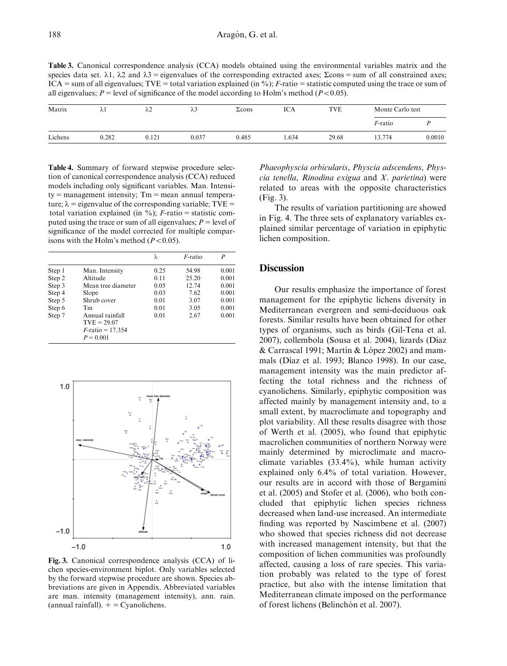Table 3. Canonical correspondence analysis (CCA) models obtained using the environmental variables matrix and the species data set.  $\lambda$ 1,  $\lambda$ 2 and  $\lambda$ 3 = eigenvalues of the corresponding extracted axes;  $\Sigma$ cons = sum of all constrained axes; ICA = sum of all eigenvalues; TVE = total variation explained (in %); F-ratio = statistic computed using the trace or sum of all eigenvalues;  $P =$  level of significance of the model according to Holm's method ( $P < 0.05$ ).

| Matrix  | $\lambda$ l | $\mathfrak{z}$<br>ΛL | λ3    | $\Sigma$ cons | ICA  | <b>TVE</b> | Monte Carlo test |        |
|---------|-------------|----------------------|-------|---------------|------|------------|------------------|--------|
|         |             |                      |       |               |      |            | <i>F</i> -ratio  |        |
| Lichens | 0.282       | 0.121                | 0.037 | 0.485         | .634 | 29.68      | 13.774           | 0.0010 |

Table 4. Summary of forward stepwise procedure selection of canonical correspondence analysis (CCA) reduced models including only significant variables. Man. Intensi $ty = management$  intensity;  $Tm = mean$  annual temperature;  $\lambda$  = eigenvalue of the corresponding variable; TVE = total variation explained (in  $\%$ ); F-ratio = statistic computed using the trace or sum of all eigenvalues;  $P =$  level of significance of the model corrected for multiple comparisons with the Holm's method  $(P<0.05)$ .

|        |                                                                        | λ    | $F$ -ratio | P     |
|--------|------------------------------------------------------------------------|------|------------|-------|
| Step 1 | Man. Intensity                                                         | 0.25 | 54.98      | 0.001 |
| Step 2 | Altitude                                                               | 0.11 | 25.20      | 0.001 |
| Step 3 | Mean tree diameter                                                     | 0.05 | 12.74      | 0.001 |
| Step 4 | Slope                                                                  | 0.03 | 7.62       | 0.001 |
| Step 5 | Shrub cover                                                            | 0.01 | 3.07       | 0.001 |
| Step 6 | Tm                                                                     | 0.01 | 3.05       | 0.001 |
| Step 7 | Annual rainfall<br>$TVE = 29.07$<br>$F$ -ratio = 17.354<br>$P = 0.001$ | 0.01 | 2.67       | 0.001 |



Fig. 3. Canonical correspondence analysis (CCA) of lichen species-environment biplot. Only variables selected by the forward stepwise procedure are shown. Species abbreviations are given in Appendix. Abbreviated variables are man. intensity (management intensity), ann. rain. (annual rainfall).  $+$  = Cyanolichens.

Phaeophyscia orbicularis, Physcia adscendens, Physcia tenella, Rinodina exigua and X. parietina) were related to areas with the opposite characteristics (Fig. 3).

The results of variation partitioning are showed in Fig. 4. The three sets of explanatory variables explained similar percentage of variation in epiphytic lichen composition.

## **Discussion**

Our results emphasize the importance of forest management for the epiphytic lichens diversity in Mediterranean evergreen and semi-deciduous oak forests. Similar results have been obtained for other types of organisms, such as birds (Gil-Tena et al. 2007), collembola (Sousa et al. 2004), lizards (Díaz  $& Carrascal 1991; Martin & López 2002)$  and mammals (Díaz et al. 1993; Blanco 1998). In our case, management intensity was the main predictor affecting the total richness and the richness of cyanolichens. Similarly, epiphytic composition was affected mainly by management intensity and, to a small extent, by macroclimate and topography and plot variability. All these results disagree with those of Werth et al. (2005), who found that epiphytic macrolichen communities of northern Norway were mainly determined by microclimate and macroclimate variables (33.4%), while human activity explained only 6.4% of total variation. However, our results are in accord with those of Bergamini et al. (2005) and Stofer et al. (2006), who both concluded that epiphytic lichen species richness decreased when land-use increased. An intermediate finding was reported by Nascimbene et al. (2007) who showed that species richness did not decrease with increased management intensity, but that the composition of lichen communities was profoundly affected, causing a loss of rare species. This variation probably was related to the type of forest practice, but also with the intense limitation that Mediterranean climate imposed on the performance of forest lichens (Belinchón et al. 2007).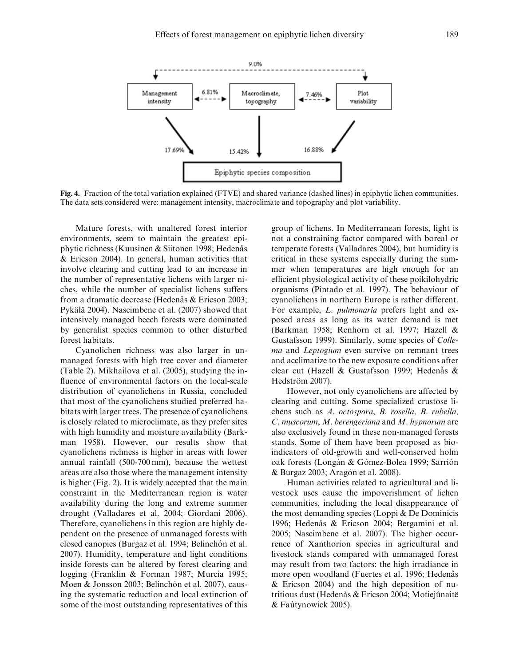

Fig. 4. Fraction of the total variation explained (FTVE) and shared variance (dashed lines) in epiphytic lichen communities. The data sets considered were: management intensity, macroclimate and topography and plot variability.

Mature forests, with unaltered forest interior environments, seem to maintain the greatest epiphytic richness (Kuusinen & Siitonen 1998; Hedenås & Ericson 2004). In general, human activities that involve clearing and cutting lead to an increase in the number of representative lichens with larger niches, while the number of specialist lichens suffers from a dramatic decrease (Hedenås & Ericson 2003; Pykälä 2004). Nascimbene et al. (2007) showed that intensively managed beech forests were dominated by generalist species common to other disturbed forest habitats.

Cyanolichen richness was also larger in unmanaged forests with high tree cover and diameter (Table 2). Mikhailova et al. (2005), studying the influence of environmental factors on the local-scale distribution of cyanolichens in Russia, concluded that most of the cyanolichens studied preferred habitats with larger trees. The presence of cyanolichens is closely related to microclimate, as they prefer sites with high humidity and moisture availability (Barkman 1958). However, our results show that cyanolichens richness is higher in areas with lower annual rainfall (500-700 mm), because the wettest areas are also those where the management intensity is higher (Fig. 2). It is widely accepted that the main constraint in the Mediterranean region is water availability during the long and extreme summer drought (Valladares et al. 2004; Giordani 2006). Therefore, cyanolichens in this region are highly dependent on the presence of unmanaged forests with closed canopies (Burgaz et al. 1994; Belinchón et al. 2007). Humidity, temperature and light conditions inside forests can be altered by forest clearing and logging (Franklin & Forman 1987; Murcia 1995; Moen & Jonsson 2003; Belinchón et al. 2007), causing the systematic reduction and local extinction of some of the most outstanding representatives of this

group of lichens. In Mediterranean forests, light is not a constraining factor compared with boreal or temperate forests (Valladares 2004), but humidity is critical in these systems especially during the summer when temperatures are high enough for an efficient physiological activity of these poikilohydric organisms (Pintado et al. 1997). The behaviour of cyanolichens in northern Europe is rather different. For example, L. pulmonaria prefers light and exposed areas as long as its water demand is met (Barkman 1958; Renhorn et al. 1997; Hazell & Gustafsson 1999). Similarly, some species of Collema and Leptogium even survive on remnant trees and acclimatize to the new exposure conditions after clear cut (Hazell & Gustafsson 1999; Hedenås & Hedström 2007).

However, not only cyanolichens are affected by clearing and cutting. Some specialized crustose lichens such as A. octospora, B. rosella, B. rubella, C. muscorum, M. berengeriana and M. hypnorum are also exclusively found in these non-managed forests stands. Some of them have been proposed as bioindicators of old-growth and well-conserved holm oak forests (Longán & Gómez-Bolea 1999; Sarrión & Burgaz 2003; Aragón et al. 2008).

Human activities related to agricultural and livestock uses cause the impoverishment of lichen communities, including the local disappearance of the most demanding species (Loppi & De Dominicis 1996; Hedenås & Ericson 2004; Bergamini et al. 2005; Nascimbene et al. 2007). The higher occurrence of Xanthorion species in agricultural and livestock stands compared with unmanaged forest may result from two factors: the high irradiance in more open woodland (Fuertes et al. 1996; Hedenas & Ericson 2004) and the high deposition of nutritious dust (Hedenås & Ericson 2004; Motiejûnaitë & Fautynowick 2005).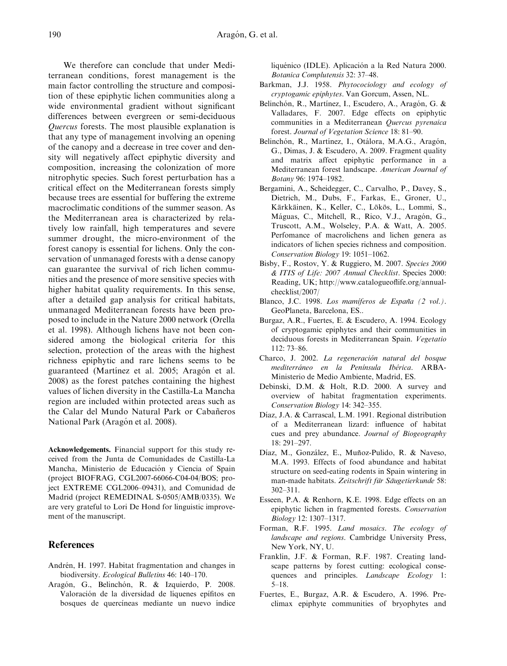We therefore can conclude that under Mediterranean conditions, forest management is the main factor controlling the structure and composition of these epiphytic lichen communities along a wide environmental gradient without significant differences between evergreen or semi-deciduous Quercus forests. The most plausible explanation is that any type of management involving an opening of the canopy and a decrease in tree cover and density will negatively affect epiphytic diversity and composition, increasing the colonization of more nitrophytic species. Such forest perturbation has a critical effect on the Mediterranean forests simply because trees are essential for buffering the extreme macroclimatic conditions of the summer season. As the Mediterranean area is characterized by relatively low rainfall, high temperatures and severe summer drought, the micro-environment of the forest canopy is essential for lichens. Only the conservation of unmanaged forests with a dense canopy can guarantee the survival of rich lichen communities and the presence of more sensitive species with higher habitat quality requirements. In this sense, after a detailed gap analysis for critical habitats, unmanaged Mediterranean forests have been proposed to include in the Nature 2000 network (Orella et al. 1998). Although lichens have not been considered among the biological criteria for this selection, protection of the areas with the highest richness epiphytic and rare lichens seems to be guaranteed (Martínez et al. 2005; Aragón et al. 2008) as the forest patches containing the highest values of lichen diversity in the Castilla-La Mancha region are included within protected areas such as the Calar del Mundo Natural Park or Cabañeros National Park (Aragón et al. 2008).

Acknowledgements. Financial support for this study received from the Junta de Comunidades de Castilla-La Mancha, Ministerio de Educación y Ciencia of Spain (project BIOFRAG, CGL2007-66066-C04-04/BOS; project EXTREME CGL2006–09431), and Comunidad de Madrid (project REMEDINAL S-0505/AMB/0335). We are very grateful to Lori De Hond for linguistic improvement of the manuscript.

## References

- Andrén, H. 1997. Habitat fragmentation and changes in biodiversity. Ecological Bulletins 46: 140–170.
- Aragón, G., Belinchón, R. & Izquierdo, P. 2008. Valoración de la diversidad de líquenes epífitos en bosques de quercíneas mediante un nuevo índice

liquénico (IDLE). Aplicación a la Red Natura 2000. Botanica Complutensis 32: 37–48.

- Barkman, J.J. 1958. Phytocociology and ecology of cryptogamic epiphytes. Van Gorcum, Assen, NL.
- Belinchón, R., Martínez, I., Escudero, A., Aragón, G. & Valladares, F. 2007. Edge effects on epiphytic communities in a Mediterranean Quercus pyrenaica forest. Journal of Vegetation Science 18: 81–90.
- Belinchón, R., Martínez, I., Otálora, M.A.G., Aragón, G., Dimas, J. & Escudero, A. 2009. Fragment quality and matrix affect epiphytic performance in a Mediterranean forest landscape. American Journal of Botany 96: 1974–1982.
- Bergamini, A., Scheidegger, C., Carvalho, P., Davey, S., Dietrich, M., Dubs, F., Farkas, E., Groner, U., Kärkkäinen, K., Keller, C., Lökös, L., Lommi, S., Máguas, C., Mitchell, R., Rico, V.J., Aragón, G., Truscott, A.M., Wolseley, P.A. & Watt, A. 2005. Perfomance of macrolichens and lichen genera as indicators of lichen species richness and composition. Conservation Biology 19: 1051–1062.
- Bisby, F., Rostov, Y. & Ruggiero, M. 2007. Species 2000 & ITIS of Life: 2007 Annual Checklist. Species 2000: Reading, UK; [http://www.catalogueoflife.org/annual](http://www.catalogueoflife.org/annual-checklist/2007/)[checklist/2007/](http://www.catalogueoflife.org/annual-checklist/2007/)
- Blanco, J.C. 1998. Los mamíferos de España (2 vol.). GeoPlaneta, Barcelona, ES..
- Burgaz, A.R., Fuertes, E. & Escudero, A. 1994. Ecology of cryptogamic epiphytes and their communities in deciduous forests in Mediterranean Spain. Vegetatio 112: 73–86.
- Charco, J. 2002. La regeneración natural del bosque mediterráneo en la Península Ibérica. ARBA-Ministerio de Medio Ambiente, Madrid, ES.
- Debinski, D.M. & Holt, R.D. 2000. A survey and overview of habitat fragmentation experiments. Conservation Biology 14: 342–355.
- Díaz, J.A. & Carrascal, L.M. 1991. Regional distribution of a Mediterranean lizard: influence of habitat cues and prey abundance. Journal of Biogeography 18: 291–297.
- Díaz, M., González, E., Muñoz-Pulido, R. & Naveso, M.A. 1993. Effects of food abundance and habitat structure on seed-eating rodents in Spain wintering in man-made habitats. Zeitschrift für Säugetierkunde 58: 302–311.
- Esseen, P.A. & Renhorn, K.E. 1998. Edge effects on an epiphytic lichen in fragmented forests. Conservation Biology 12: 1307–1317.
- Forman, R.F. 1995. Land mosaics. The ecology of landscape and regions. Cambridge University Press, New York, NY, U.
- Franklin, J.F. & Forman, R.F. 1987. Creating landscape patterns by forest cutting: ecological consequences and principles. Landscape Ecology 1: 5–18.
- Fuertes, E., Burgaz, A.R. & Escudero, A. 1996. Preclimax epiphyte communities of bryophytes and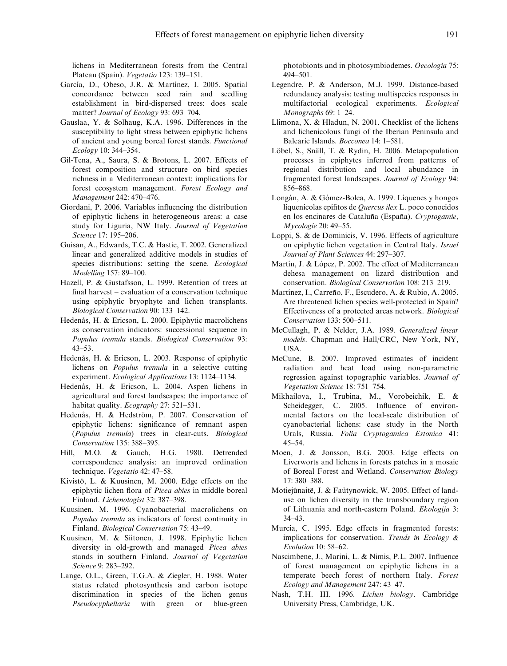lichens in Mediterranean forests from the Central Plateau (Spain). Vegetatio 123: 139–151.

- García, D., Obeso, J.R. & Martínez, I. 2005. Spatial concordance between seed rain and seedling establishment in bird-dispersed trees: does scale matter? Journal of Ecology 93: 693–704.
- Gauslaa, Y. & Solhaug, K.A. 1996. Differences in the susceptibility to light stress between epiphytic lichens of ancient and young boreal forest stands. Functional Ecology 10: 344–354.
- Gil-Tena, A., Saura, S. & Brotons, L. 2007. Effects of forest composition and structure on bird species richness in a Mediterranean context: implications for forest ecosystem management. Forest Ecology and Management 242: 470–476.
- Giordani, P. 2006. Variables influencing the distribution of epiphytic lichens in heterogeneous areas: a case study for Liguria, NW Italy. Journal of Vegetation Science 17: 195–206.
- Guisan, A., Edwards, T.C. & Hastie, T. 2002. Generalized linear and generalized additive models in studies of species distributions: setting the scene. Ecological Modelling 157: 89–100.
- Hazell, P. & Gustafsson, L. 1999. Retention of trees at final harvest – evaluation of a conservation technique using epiphytic bryophyte and lichen transplants. Biological Conservation 90: 133–142.
- Hedenås, H. & Ericson, L. 2000. Epiphytic macrolichens as conservation indicators: successional sequence in Populus tremula stands. Biological Conservation 93: 43–53.
- Hedenås, H. & Ericson, L. 2003. Response of epiphytic lichens on Populus tremula in a selective cutting experiment. *Ecological Applications* 13: 1124–1134.
- Hedenås, H. & Ericson, L. 2004. Aspen lichens in agricultural and forest landscapes: the importance of habitat quality. Ecography 27: 521-531.
- Hedenås, H. & Hedström, P. 2007. Conservation of epiphytic lichens: significance of remnant aspen (Populus tremula) trees in clear-cuts. Biological Conservation 135: 388–395.
- Hill, M.O. & Gauch, H.G. 1980. Detrended correspondence analysis: an improved ordination technique. Vegetatio 42: 47–58.
- Kivistö, L. & Kuusinen, M. 2000. Edge effects on the epiphytic lichen flora of Picea abies in middle boreal Finland. Lichenologist 32: 387–398.
- Kuusinen, M. 1996. Cyanobacterial macrolichens on Populus tremula as indicators of forest continuity in Finland. Biological Conservation 75: 43–49.
- Kuusinen, M. & Siitonen, J. 1998. Epiphytic lichen diversity in old-growth and managed Picea abies stands in southern Finland. Journal of Vegetation Science 9: 283–292.
- Lange, O.L., Green, T.G.A. & Ziegler, H. 1988. Water status related photosynthesis and carbon isotope discrimination in species of the lichen genus Pseudocyphellaria with green or blue-green

photobionts and in photosymbiodemes. Oecologia 75: 494–501.

- Legendre, P. & Anderson, M.J. 1999. Distance-based redundancy analysis: testing multispecies responses in multifactorial ecological experiments. Ecological Monographs 69: 1–24.
- Llimona, X. & Hladun, N. 2001. Checklist of the lichens and lichenicolous fungi of the Iberian Peninsula and Balearic Islands. Bocconea 14: 1–581.
- Löbel, S., Snäll, T. & Rydin, H. 2006. Metapopulation processes in epiphytes inferred from patterns of regional distribution and local abundance in fragmented forest landscapes. Journal of Ecology 94: 856–868.
- Longán, A. & Gómez-Bolea, A. 1999. Líquenes y hongos liquenícolas epífitos de Quercus ilex L. poco conocidos en los encinares de Cataluña (España). Cryptogamie, Mycologie 20: 49–55.
- Loppi, S. & de Dominicis, V. 1996. Effects of agriculture on epiphytic lichen vegetation in Central Italy. Israel Journal of Plant Sciences 44: 297–307.
- Martín, J. & López, P. 2002. The effect of Mediterranean dehesa management on lizard distribution and conservation. Biological Conservation 108: 213–219.
- Martínez, I., Carreño, F., Escudero, A. & Rubio, A. 2005. Are threatened lichen species well-protected in Spain? Effectiveness of a protected areas network. Biological Conservation 133: 500–511.
- McCullagh, P. & Nelder, J.A. 1989. Generalized linear models. Chapman and Hall/CRC, New York, NY, USA.
- McCune, B. 2007. Improved estimates of incident radiation and heat load using non-parametric regression against topographic variables. Journal of Vegetation Science 18: 751–754.
- Mikhailova, I., Trubina, M., Vorobeichik, E. & Scheidegger, C. 2005. Influence of environmental factors on the local-scale distribution of cyanobacterial lichens: case study in the North Urals, Russia. Folia Cryptogamica Estonica 41: 45–54.
- Moen, J. & Jonsson, B.G. 2003. Edge effects on Liverworts and lichens in forests patches in a mosaic of Boreal Forest and Wetland. Conservation Biology 17: 380–388.
- Motiejûnaitë, J. & Faùtynowick, W. 2005. Effect of landuse on lichen diversity in the transboundary region of Lithuania and north-eastern Poland. Ekologija 3: 34–43.
- Murcia, C. 1995. Edge effects in fragmented forests: implications for conservation. Trends in Ecology & Evolution 10: 58–62.
- Nascimbene, J., Marini, L. & Nimis, P.L. 2007. Influence of forest management on epiphytic lichens in a temperate beech forest of northern Italy. Forest Ecology and Management 247: 43–47.
- Nash, T.H. III. 1996. Lichen biology. Cambridge University Press, Cambridge, UK.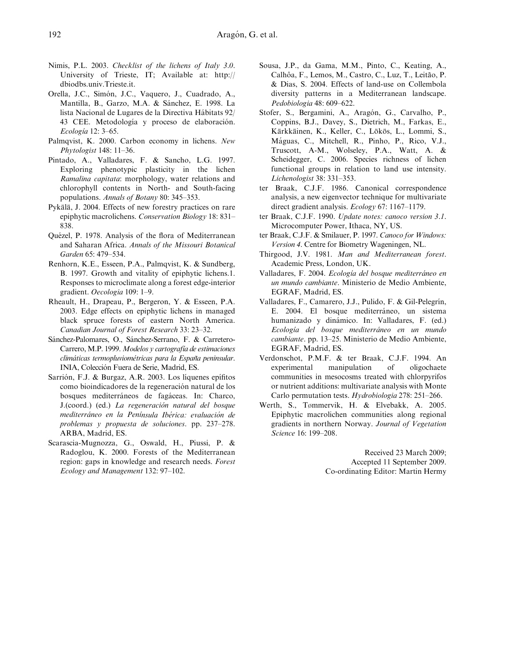- Nimis, P.L. 2003. Checklist of the lichens of Italy 3.0. University of Trieste, IT; Available at: [http://](http://dbiodbs.univ.Trieste.it) [dbiodbs.univ.Trieste.it.](http://dbiodbs.univ.Trieste.it)
- Orella, J.C., Simón, J.C., Vaquero, J., Cuadrado, A., Mantilla, B., Garzo, M.A. & Sánchez, E. 1998. La lista Nacional de Lugares de la Directiva Hábitats 92/ 43 CEE. Metodología y proceso de elaboración. Ecología 12: 3-65.
- Palmqvist, K. 2000. Carbon economy in lichens. New Phytologist 148: 11–36.
- Pintado, A., Valladares, F. & Sancho, L.G. 1997. Exploring phenotypic plasticity in the lichen Ramalina capitata: morphology, water relations and chlorophyll contents in North- and South-facing populations. Annals of Botany 80: 345–353.
- Pykälä, J. 2004. Effects of new forestry practices on rare epiphytic macrolichens. Conservation Biology 18: 831– 838.
- Quézel, P. 1978. Analysis of the flora of Mediterranean and Saharan Africa. Annals of the Missouri Botanical Garden 65: 479–534.
- Renhorn, K.E., Esseen, P.A., Palmqvist, K. & Sundberg, B. 1997. Growth and vitality of epiphytic lichens.1. Responses to microclimate along a forest edge-interior gradient. Oecologia 109: 1–9.
- Rheault, H., Drapeau, P., Bergeron, Y. & Esseen, P.A. 2003. Edge effects on epiphytic lichens in managed black spruce forests of eastern North America. Canadian Journal of Forest Research 33: 23–32.
- Sánchez-Palomares, O., Sánchez-Serrano, F. & Carretero-Carrero, M.P. 1999. Modelos y cartografía de estimaciones climáticas termopluviométricas para la España peninsular. INIA, Colección Fuera de Serie, Madrid, ES.
- Sarrión, F.J. & Burgaz, A.R. 2003. Los líquenes epífitos como bioindicadores de la regeneración natural de los bosques mediterráneos de fagáceas. In: Charco, J.(coord.) (ed.) La regeneración natural del bosque mediterráneo en la Península Ibérica: evaluación de problemas y propuesta de soluciones. pp. 237–278. ARBA, Madrid, ES.
- Scarascia-Mugnozza, G., Oswald, H., Piussi, P. & Radoglou, K. 2000. Forests of the Mediterranean region: gaps in knowledge and research needs. Forest Ecology and Management 132: 97–102.
- Sousa, J.P., da Gama, M.M., Pinto, C., Keating, A., Calhôa, F., Lemos, M., Castro, C., Luz, T., Leitão, P. & Dias, S. 2004. Effects of land-use on Collembola diversity patterns in a Mediterranean landscape. Pedobiologia 48: 609–622.
- Stofer, S., Bergamini, A., Aragón, G., Carvalho, P., Coppins, B.J., Davey, S., Dietrich, M., Farkas, E., Kärkkäinen, K., Keller, C., Lökös, L., Lommi, S., Máguas, C., Mitchell, R., Pinho, P., Rico, V.J., Truscott, A-M., Wolseley, P.A., Watt, A. & Scheidegger, C. 2006. Species richness of lichen functional groups in relation to land use intensity. Lichenologist 38: 331–353.
- ter Braak, C.J.F. 1986. Canonical correspondence analysis, a new eigenvector technique for multivariate direct gradient analysis. Ecology 67: 1167–1179.
- ter Braak, C.J.F. 1990. Update notes: canoco version 3.1. Microcomputer Power, Ithaca, NY, US.
- ter Braak, C.J.F. & Smilauer, P. 1997. Canoco for Windows: Version 4. Centre for Biometry Wageningen, NL.
- Thirgood, J.V. 1981. Man and Mediterranean forest. Academic Press, London, UK.
- Valladares, F. 2004. Ecología del bosque mediterráneo en un mundo cambiante. Ministerio de Medio Ambiente, EGRAF, Madrid, ES.
- Valladares, F., Camarero, J.J., Pulido, F. & Gil-Pelegrín, E. 2004. El bosque mediterráneo, un sistema humanizado y dinámico. In: Valladares, F. (ed.) Ecología del bosque mediterráneo en un mundo cambiante. pp. 13–25. Ministerio de Medio Ambiente, EGRAF, Madrid, ES.
- Verdonschot, P.M.F. & ter Braak, C.J.F. 1994. An experimental manipulation of oligochaete communities in mesocosms treated with chlorpyrifos or nutrient additions: multivariate analysis with Monte Carlo permutation tests. Hydrobiologia 278: 251–266.
- Werth, S., Tømmervik, H. & Elvebakk, A. 2005. Epiphytic macrolichen communities along regional gradients in northern Norway. Journal of Vegetation Science 16: 199–208.

Received 23 March 2009; Accepted 11 September 2009. Co-ordinating Editor: Martin Hermy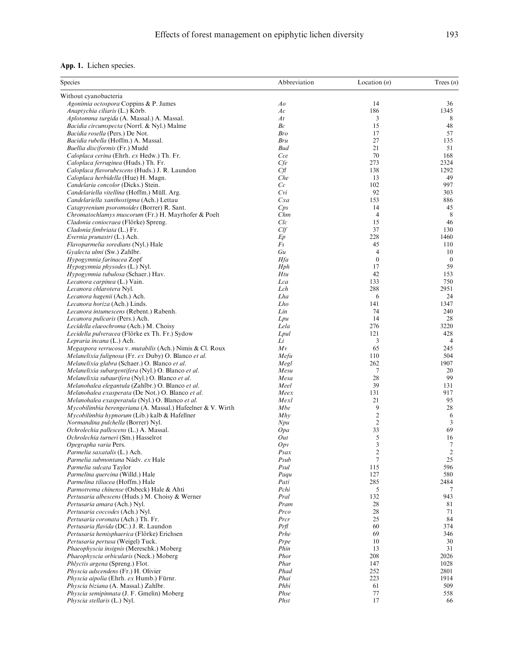| <b>App. 1.</b> Lichen species. |  |  |
|--------------------------------|--|--|
|--------------------------------|--|--|

| Species                                                                                                                    | Abbreviation   | Location $(n)$   | Trees $(n)$      |
|----------------------------------------------------------------------------------------------------------------------------|----------------|------------------|------------------|
| Without cyanobacteria                                                                                                      |                |                  |                  |
| Agonimia octospora Coppins & P. James                                                                                      | Ao             | 14               | 36               |
| Anaptychia ciliaris (L.) Körb.                                                                                             | Ac             | 186              | 1345             |
| Aplotomma turgida (A. Massal.) A. Massal.                                                                                  | At             | 3                | 8                |
| Bacidia circumspecta (Norrl. & Nyl.) Malme                                                                                 | Вc             | 15               | 48               |
| Bacidia rosella (Pers.) De Not.                                                                                            | <b>Bro</b>     | 17               | 57               |
| Bacidia rubella (Hoffm.) A. Massal.                                                                                        | Bru            | 27               | 135              |
| Buellia disciformis (Fr.) Mudd                                                                                             | <b>Bud</b>     | 21               | 51               |
| Caloplaca cerina (Ehrh. ex Hedw.) Th. Fr.                                                                                  | Cce            | 70               | 168              |
| Caloplaca ferruginea (Huds.) Th. Fr.                                                                                       | Cfe            | 273              | 2324             |
| Caloplaca flavorubescens (Huds.) J. R. Laundon                                                                             | Cf             | 138              | 1292             |
| Caloplaca herbidella (Hue) H. Magn.                                                                                        | Che            | 13               | 49               |
| Candelaria concolor (Dicks.) Stein.                                                                                        | $\mathbb{C}$ c | 102              | 997              |
| Candelariella vitellina (Hoffm.) Müll. Arg.                                                                                | Cvi            | 92               | 303              |
| Candelariella xanthostigma (Ach.) Lettau                                                                                   | Cxa            | 153              | 886              |
| Catapyrenium psoromoides (Borrer) R. Sant.                                                                                 | Cps            | 14               | 45               |
| Chromatochlamys muscorum (Fr.) H. Mayrhofer & Poelt                                                                        | Chm            | 4                | 8                |
| Cladonia coniocraea (Flörke) Spreng.                                                                                       | Clc            | 15               | 46               |
| Cladonia fimbriata (L.) Fr.                                                                                                | Clf            | 37               | 130              |
| Evernia prunastri (L.) Ach.                                                                                                | Ep             | 228              | 1460             |
| Flavoparmelia soredians (Nyl.) Hale                                                                                        | Fs             | 45               | 110              |
| Gyalecta ulmi (Sw.) Zahlbr.                                                                                                | Gu             | 4                | 10               |
| Hypogymnia farinacea Zopf                                                                                                  | Hfa            | $\boldsymbol{0}$ | $\boldsymbol{0}$ |
| <i>Hypogymnia physodes</i> (L.) Nyl.                                                                                       | Hph            | 17               | 59               |
| Hypogymnia tubulosa (Schaer.) Hav.                                                                                         | Htu            | 42               | 153              |
| Lecanora carpinea (L.) Vain.                                                                                               | Lca            | 133              | 750              |
| Lecanora chlarotera Nyl.                                                                                                   | Lch            | 288              | 2951             |
| Lecanora hagenii (Ach.) Ach.                                                                                               | Lha            | 6                | 24               |
| Lecanora horiza (Ach.) Linds.                                                                                              | Lho            | 141              | 1347             |
| Lecanora intumescens (Rebent.) Rabenh.                                                                                     | Lin            | 74               | 240              |
| Lecanora pulicaris (Pers.) Ach.                                                                                            | Lpu            | 14               | 28               |
| Lecidella elaeochroma (Ach.) M. Choisy                                                                                     | Lela           | 276              | 3220             |
| Lecidella pulveracea (Flörke ex Th. Fr.) Sydow                                                                             | Lpul           | 121              | 428              |
| Lepraria incana (L.) Ach.                                                                                                  | Li             | 3                | 4                |
| Megaspora verrucosa v. mutabilis (Ach.) Nimis & Cl. Roux                                                                   | Mv             | 65               | 245              |
| Melanelixia fulignosa (Fr. ex Duby) O. Blanco et al.                                                                       | Mefu           | 110              | 504              |
| Melanelixia glabra (Schaer.) O. Blanco et al.                                                                              | Megl           | 262              | 1907             |
| Melanelixia subargentifera (Nyl.) O. Blanco et al.                                                                         | Mesu           | 7                | 20<br>99         |
| Melanelixia subaurifera (Nyl.) O. Blanco et al.                                                                            | Mesa           | 28<br>39         |                  |
| Melanohalea elegantula (Zahlbr.) O. Blanco et al.                                                                          | Meel           | 131              | 131<br>917       |
| Melanohalea exasperata (De Not.) O. Blanco et al.                                                                          | Meex<br>Mexl   | 21               | 95               |
| Melanohalea exasperatula (Nyl.) O. Blanco et al.                                                                           | Mbe            | 9                | 28               |
| <i>Mycobilimbia berengeriana</i> (A. Massal.) Hafeelner & V. Wirth<br><i>Mycobilimbia hypnorum</i> (Lib.) kalb & Hafellner | Mhy            | $\overline{c}$   | 6                |
| Normandina pulchella (Borrer) Nyl.                                                                                         | Npu            | $\overline{c}$   | $\mathfrak{Z}$   |
| Ochrolechia pallescens (L.) A. Massal.                                                                                     | 0pa            | 33               | 69               |
| Ochrolechia turneri (Sm.) Hasselrot                                                                                        | Out            | 5                | 16               |
| Opegrapha varia Pers.                                                                                                      | Opv            | 3                | 7                |
| Parmelia saxatalis (L.) Ach.                                                                                               | Psax           | $\mathfrak{2}$   | $\overline{2}$   |
| Parmelia submontana Nádv. ex Hale                                                                                          | Psub           | $\tau$           | 25               |
| Parmelia sulcata Taylor                                                                                                    | Psul           | 115              | 596              |
| Parmelina quercina (Willd.) Hale                                                                                           | Paqu           | 127              | 580              |
| Parmelina tiliacea (Hoffm.) Hale                                                                                           | Pati           | 285              | 2484             |
| Parmotrema chinense (Osbeck) Hale & Ahti                                                                                   | Pchi           | 5                | 7                |
| Pertusaria albescens (Huds.) M. Choisy & Werner                                                                            | Pral           | 132              | 943              |
| Pertusaria amara (Ach.) Nyl.                                                                                               | Pram           | 28               | 81               |
| Pertusaria coccodes (Ach.) Nyl.                                                                                            | Proo           | 28               | 71               |
| Pertusaria coronata (Ach.) Th. Fr.                                                                                         | Prcr           | 25               | 84               |
| Pertusaria flavida (DC.) J. R. Laundon                                                                                     | Prfl           | 60               | 374              |
| Pertusaria hemisphaerica (Flörke) Erichsen                                                                                 | Prhe           | 69               | 346              |
| Pertusaria pertusa (Weigel) Tuck.                                                                                          | Prpe           | 10               | 30               |
| Phaeophyscia insignis (Mereschk.) Moberg                                                                                   | Phin           | 13               | 31               |
| Phaeophyscia orbicularis (Neck.) Moberg                                                                                    | Phor           | 208              | 2026             |
| Phlyctis argena (Spreng.) Flot.                                                                                            | Phar           | 147              | 1028             |
| <i>Physcia adscendens</i> (Fr.) H. Olivier                                                                                 | Phad           | 252              | 2801             |
| Physcia aipolia (Ehrh. ex Humb.) Fürnr.                                                                                    | Phai           | 223              | 1914             |
| Physcia biziana (A. Massal.) Zahlbr.                                                                                       | Phbi           | 61               | 509              |
| Physcia semipinnata (J. F. Gmelin) Moberg                                                                                  | Phse           | 77               | 558              |
| Physcia stellaris (L.) Nyl.                                                                                                | Phst           | 17               | 66               |